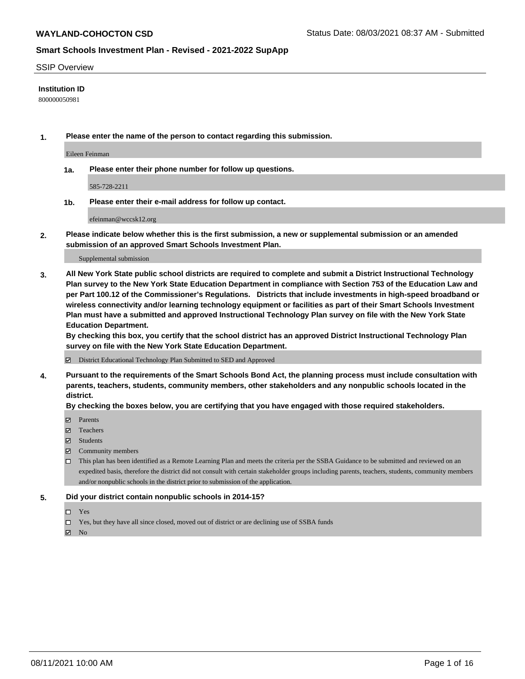#### SSIP Overview

### **Institution ID**

800000050981

**1. Please enter the name of the person to contact regarding this submission.**

Eileen Feinman

**1a. Please enter their phone number for follow up questions.**

585-728-2211

**1b. Please enter their e-mail address for follow up contact.**

efeinman@wccsk12.org

**2. Please indicate below whether this is the first submission, a new or supplemental submission or an amended submission of an approved Smart Schools Investment Plan.**

#### Supplemental submission

**3. All New York State public school districts are required to complete and submit a District Instructional Technology Plan survey to the New York State Education Department in compliance with Section 753 of the Education Law and per Part 100.12 of the Commissioner's Regulations. Districts that include investments in high-speed broadband or wireless connectivity and/or learning technology equipment or facilities as part of their Smart Schools Investment Plan must have a submitted and approved Instructional Technology Plan survey on file with the New York State Education Department.** 

**By checking this box, you certify that the school district has an approved District Instructional Technology Plan survey on file with the New York State Education Department.**

District Educational Technology Plan Submitted to SED and Approved

**4. Pursuant to the requirements of the Smart Schools Bond Act, the planning process must include consultation with parents, teachers, students, community members, other stakeholders and any nonpublic schools located in the district.** 

### **By checking the boxes below, you are certifying that you have engaged with those required stakeholders.**

- **Parents**
- Teachers
- Students
- $\boxtimes$  Community members
- This plan has been identified as a Remote Learning Plan and meets the criteria per the SSBA Guidance to be submitted and reviewed on an expedited basis, therefore the district did not consult with certain stakeholder groups including parents, teachers, students, community members and/or nonpublic schools in the district prior to submission of the application.
- **5. Did your district contain nonpublic schools in 2014-15?**
	- □ Yes
	- □ Yes, but they have all since closed, moved out of district or are declining use of SSBA funds

 $M$  No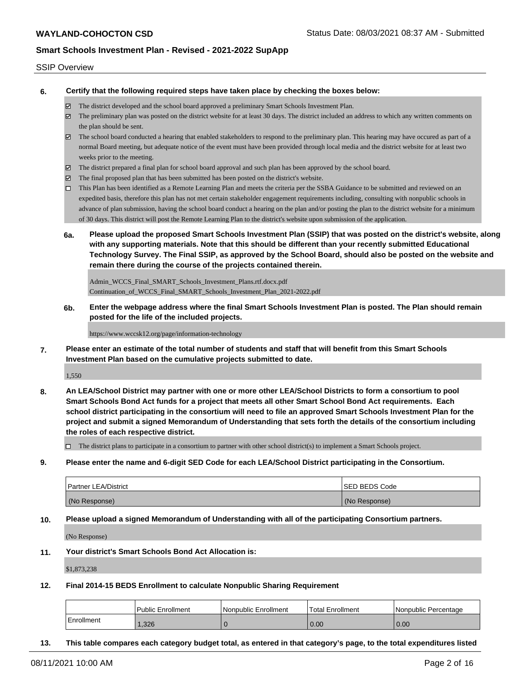#### SSIP Overview

**6. Certify that the following required steps have taken place by checking the boxes below:**

- The district developed and the school board approved a preliminary Smart Schools Investment Plan.
- The preliminary plan was posted on the district website for at least 30 days. The district included an address to which any written comments on the plan should be sent.
- The school board conducted a hearing that enabled stakeholders to respond to the preliminary plan. This hearing may have occured as part of a normal Board meeting, but adequate notice of the event must have been provided through local media and the district website for at least two weeks prior to the meeting.
- The district prepared a final plan for school board approval and such plan has been approved by the school board.
- $\boxtimes$  The final proposed plan that has been submitted has been posted on the district's website.
- This Plan has been identified as a Remote Learning Plan and meets the criteria per the SSBA Guidance to be submitted and reviewed on an expedited basis, therefore this plan has not met certain stakeholder engagement requirements including, consulting with nonpublic schools in advance of plan submission, having the school board conduct a hearing on the plan and/or posting the plan to the district website for a minimum of 30 days. This district will post the Remote Learning Plan to the district's website upon submission of the application.
- **6a. Please upload the proposed Smart Schools Investment Plan (SSIP) that was posted on the district's website, along with any supporting materials. Note that this should be different than your recently submitted Educational Technology Survey. The Final SSIP, as approved by the School Board, should also be posted on the website and remain there during the course of the projects contained therein.**

Admin\_WCCS\_Final\_SMART\_Schools\_Investment\_Plans.rtf.docx.pdf Continuation\_of\_WCCS\_Final\_SMART\_Schools\_Investment\_Plan\_2021-2022.pdf

**6b. Enter the webpage address where the final Smart Schools Investment Plan is posted. The Plan should remain posted for the life of the included projects.**

https://www.wccsk12.org/page/information-technology

**7. Please enter an estimate of the total number of students and staff that will benefit from this Smart Schools Investment Plan based on the cumulative projects submitted to date.**

1,550

**8. An LEA/School District may partner with one or more other LEA/School Districts to form a consortium to pool Smart Schools Bond Act funds for a project that meets all other Smart School Bond Act requirements. Each school district participating in the consortium will need to file an approved Smart Schools Investment Plan for the project and submit a signed Memorandum of Understanding that sets forth the details of the consortium including the roles of each respective district.**

 $\Box$  The district plans to participate in a consortium to partner with other school district(s) to implement a Smart Schools project.

**9. Please enter the name and 6-digit SED Code for each LEA/School District participating in the Consortium.**

| <b>Partner LEA/District</b> | <b>ISED BEDS Code</b> |
|-----------------------------|-----------------------|
| (No Response)               | (No Response)         |

**10. Please upload a signed Memorandum of Understanding with all of the participating Consortium partners.**

(No Response)

**11. Your district's Smart Schools Bond Act Allocation is:**

\$1,873,238

**12. Final 2014-15 BEDS Enrollment to calculate Nonpublic Sharing Requirement**

|                   | <b>Public Enrollment</b> | Nonpublic Enrollment | <b>Total Enrollment</b> | l Nonpublic Percentage |
|-------------------|--------------------------|----------------------|-------------------------|------------------------|
| <b>Enrollment</b> | .326                     |                      | 0.00                    | 0.00                   |

**13. This table compares each category budget total, as entered in that category's page, to the total expenditures listed**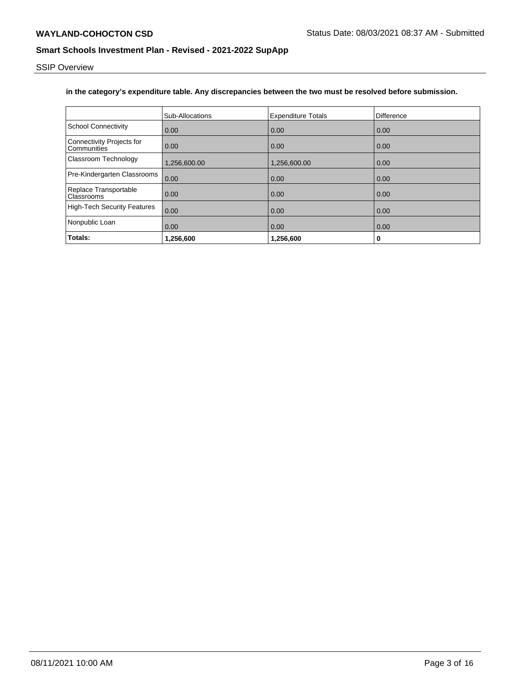SSIP Overview

### **in the category's expenditure table. Any discrepancies between the two must be resolved before submission.**

|                                                 | Sub-Allocations   | <b>Expenditure Totals</b> | Difference |
|-------------------------------------------------|-------------------|---------------------------|------------|
| School Connectivity                             | 0.00              | 0.00                      | 0.00       |
| <b>Connectivity Projects for</b><br>Communities | 0.00              | 0.00                      | 0.00       |
| Classroom Technology                            | 1,256,600.00      | 1,256,600.00              | 0.00       |
| Pre-Kindergarten Classrooms                     | 0.00              | 0.00                      | 0.00       |
| Replace Transportable<br><b>Classrooms</b>      | 0.00              | 0.00                      | 0.00       |
| High-Tech Security Features                     | 0.00              | 0.00                      | 0.00       |
| Nonpublic Loan                                  | $\overline{0.00}$ | 0.00                      | 0.00       |
| Totals:                                         | 1,256,600         | 1,256,600                 | 0          |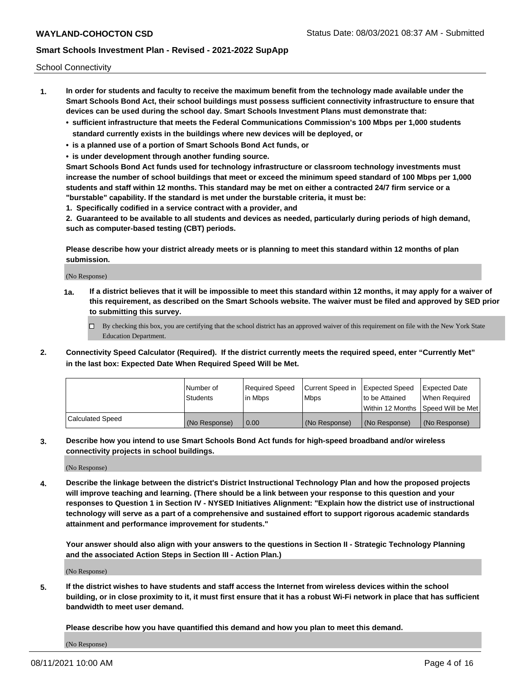School Connectivity

- **1. In order for students and faculty to receive the maximum benefit from the technology made available under the Smart Schools Bond Act, their school buildings must possess sufficient connectivity infrastructure to ensure that devices can be used during the school day. Smart Schools Investment Plans must demonstrate that:**
	- **• sufficient infrastructure that meets the Federal Communications Commission's 100 Mbps per 1,000 students standard currently exists in the buildings where new devices will be deployed, or**
	- **• is a planned use of a portion of Smart Schools Bond Act funds, or**
	- **• is under development through another funding source.**

**Smart Schools Bond Act funds used for technology infrastructure or classroom technology investments must increase the number of school buildings that meet or exceed the minimum speed standard of 100 Mbps per 1,000 students and staff within 12 months. This standard may be met on either a contracted 24/7 firm service or a "burstable" capability. If the standard is met under the burstable criteria, it must be:**

**1. Specifically codified in a service contract with a provider, and**

**2. Guaranteed to be available to all students and devices as needed, particularly during periods of high demand, such as computer-based testing (CBT) periods.**

**Please describe how your district already meets or is planning to meet this standard within 12 months of plan submission.**

(No Response)

**1a. If a district believes that it will be impossible to meet this standard within 12 months, it may apply for a waiver of this requirement, as described on the Smart Schools website. The waiver must be filed and approved by SED prior to submitting this survey.**

 $\Box$  By checking this box, you are certifying that the school district has an approved waiver of this requirement on file with the New York State Education Department.

**2. Connectivity Speed Calculator (Required). If the district currently meets the required speed, enter "Currently Met" in the last box: Expected Date When Required Speed Will be Met.**

|                  | l Number of     | Required Speed | Current Speed in | Expected Speed | Expected Date                        |
|------------------|-----------------|----------------|------------------|----------------|--------------------------------------|
|                  | <b>Students</b> | In Mbps        | <b>Mbps</b>      | to be Attained | When Required                        |
|                  |                 |                |                  |                | Within 12 Months 1Speed Will be Met1 |
| Calculated Speed | (No Response)   | 0.00           | (No Response)    | (No Response)  | l (No Response)                      |

**3. Describe how you intend to use Smart Schools Bond Act funds for high-speed broadband and/or wireless connectivity projects in school buildings.**

(No Response)

**4. Describe the linkage between the district's District Instructional Technology Plan and how the proposed projects will improve teaching and learning. (There should be a link between your response to this question and your responses to Question 1 in Section IV - NYSED Initiatives Alignment: "Explain how the district use of instructional technology will serve as a part of a comprehensive and sustained effort to support rigorous academic standards attainment and performance improvement for students."** 

**Your answer should also align with your answers to the questions in Section II - Strategic Technology Planning and the associated Action Steps in Section III - Action Plan.)**

(No Response)

**5. If the district wishes to have students and staff access the Internet from wireless devices within the school building, or in close proximity to it, it must first ensure that it has a robust Wi-Fi network in place that has sufficient bandwidth to meet user demand.**

**Please describe how you have quantified this demand and how you plan to meet this demand.**

(No Response)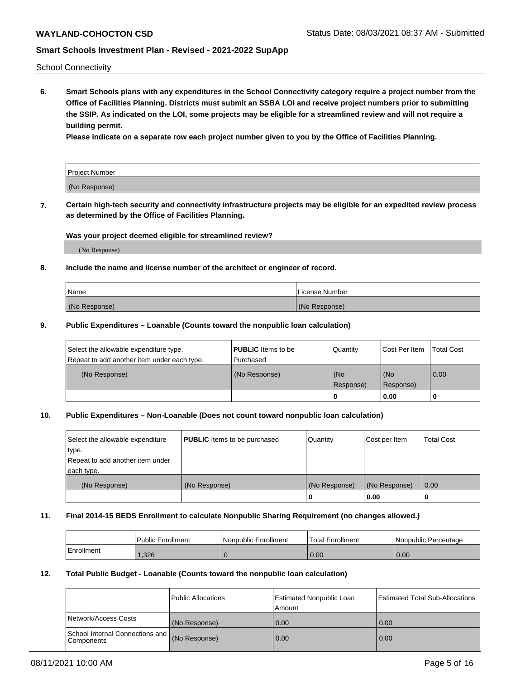School Connectivity

**6. Smart Schools plans with any expenditures in the School Connectivity category require a project number from the Office of Facilities Planning. Districts must submit an SSBA LOI and receive project numbers prior to submitting the SSIP. As indicated on the LOI, some projects may be eligible for a streamlined review and will not require a building permit.**

**Please indicate on a separate row each project number given to you by the Office of Facilities Planning.**

| Project Number |  |
|----------------|--|
| (No Response)  |  |

**7. Certain high-tech security and connectivity infrastructure projects may be eligible for an expedited review process as determined by the Office of Facilities Planning.**

### **Was your project deemed eligible for streamlined review?**

(No Response)

### **8. Include the name and license number of the architect or engineer of record.**

| Name          | License Number |
|---------------|----------------|
| (No Response) | (No Response)  |

### **9. Public Expenditures – Loanable (Counts toward the nonpublic loan calculation)**

| Select the allowable expenditure type.<br>Repeat to add another item under each type. | <b>PUBLIC</b> Items to be<br>l Purchased | Quantity           | Cost Per Item    | <b>Total Cost</b> |
|---------------------------------------------------------------------------------------|------------------------------------------|--------------------|------------------|-------------------|
| (No Response)                                                                         | (No Response)                            | l (No<br>Response) | (No<br>Response) | $\overline{0.00}$ |
|                                                                                       |                                          | O                  | 0.00             |                   |

### **10. Public Expenditures – Non-Loanable (Does not count toward nonpublic loan calculation)**

| Select the allowable expenditure<br>type.<br>Repeat to add another item under<br>each type. | <b>PUBLIC</b> Items to be purchased | Quantity      | Cost per Item | <b>Total Cost</b> |
|---------------------------------------------------------------------------------------------|-------------------------------------|---------------|---------------|-------------------|
| (No Response)                                                                               | (No Response)                       | (No Response) | (No Response) | 0.00              |
|                                                                                             |                                     |               | 0.00          |                   |

#### **11. Final 2014-15 BEDS Enrollment to calculate Nonpublic Sharing Requirement (no changes allowed.)**

|            | Public Enrollment | l Nonpublic Enrollment | <b>Total Enrollment</b> | Nonpublic Percentage |
|------------|-------------------|------------------------|-------------------------|----------------------|
| Enrollment | .326              |                        | 0.00                    | 0.00                 |

#### **12. Total Public Budget - Loanable (Counts toward the nonpublic loan calculation)**

|                                                      | Public Allocations | <b>Estimated Nonpublic Loan</b><br>Amount | Estimated Total Sub-Allocations |
|------------------------------------------------------|--------------------|-------------------------------------------|---------------------------------|
| Network/Access Costs                                 | (No Response)      | 0.00                                      | 0.00                            |
| School Internal Connections and<br><b>Components</b> | (No Response)      | 0.00                                      | 0.00                            |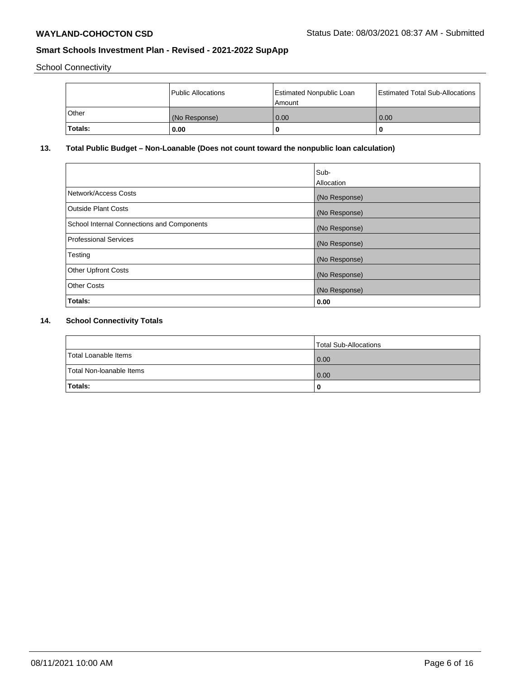School Connectivity

|         | Public Allocations | <b>Estimated Nonpublic Loan</b><br>l Amount | <b>Estimated Total Sub-Allocations</b> |
|---------|--------------------|---------------------------------------------|----------------------------------------|
| l Other | (No Response)      | 0.00                                        | 0.00                                   |
| Totals: | 0.00               | 0                                           |                                        |

# **13. Total Public Budget – Non-Loanable (Does not count toward the nonpublic loan calculation)**

|                                                   | Sub-<br>Allocation |
|---------------------------------------------------|--------------------|
| Network/Access Costs                              | (No Response)      |
| <b>Outside Plant Costs</b>                        | (No Response)      |
| <b>School Internal Connections and Components</b> | (No Response)      |
| Professional Services                             | (No Response)      |
| Testing                                           | (No Response)      |
| <b>Other Upfront Costs</b>                        | (No Response)      |
| <b>Other Costs</b>                                | (No Response)      |
| <b>Totals:</b>                                    | 0.00               |

# **14. School Connectivity Totals**

|                          | Total Sub-Allocations |
|--------------------------|-----------------------|
| Total Loanable Items     | 0.00                  |
| Total Non-Ioanable Items | 0.00                  |
| Totals:                  |                       |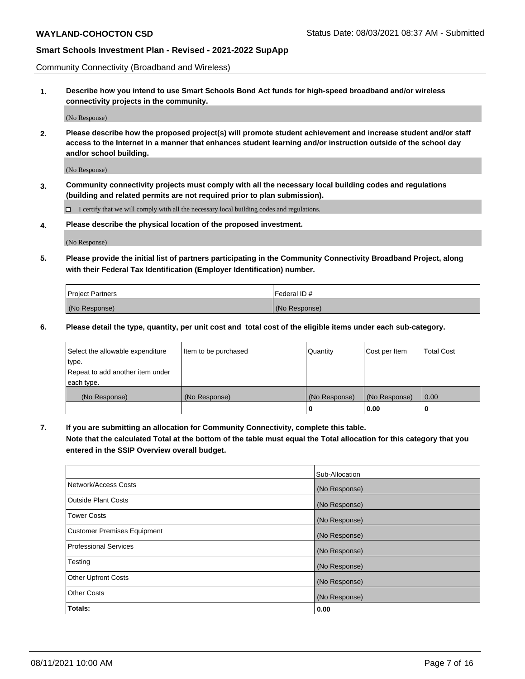Community Connectivity (Broadband and Wireless)

**1. Describe how you intend to use Smart Schools Bond Act funds for high-speed broadband and/or wireless connectivity projects in the community.**

(No Response)

**2. Please describe how the proposed project(s) will promote student achievement and increase student and/or staff access to the Internet in a manner that enhances student learning and/or instruction outside of the school day and/or school building.**

(No Response)

**3. Community connectivity projects must comply with all the necessary local building codes and regulations (building and related permits are not required prior to plan submission).**

 $\Box$  I certify that we will comply with all the necessary local building codes and regulations.

**4. Please describe the physical location of the proposed investment.**

(No Response)

**5. Please provide the initial list of partners participating in the Community Connectivity Broadband Project, along with their Federal Tax Identification (Employer Identification) number.**

| <b>Project Partners</b> | l Federal ID # |
|-------------------------|----------------|
| (No Response)           | (No Response)  |

**6. Please detail the type, quantity, per unit cost and total cost of the eligible items under each sub-category.**

| Select the allowable expenditure | Item to be purchased | Quantity      | Cost per Item | <b>Total Cost</b> |
|----------------------------------|----------------------|---------------|---------------|-------------------|
| type.                            |                      |               |               |                   |
| Repeat to add another item under |                      |               |               |                   |
| each type.                       |                      |               |               |                   |
| (No Response)                    | (No Response)        | (No Response) | (No Response) | 0.00              |
|                                  |                      | o             | 0.00          |                   |

**7. If you are submitting an allocation for Community Connectivity, complete this table.**

**Note that the calculated Total at the bottom of the table must equal the Total allocation for this category that you entered in the SSIP Overview overall budget.**

|                                    | Sub-Allocation |
|------------------------------------|----------------|
| Network/Access Costs               | (No Response)  |
| Outside Plant Costs                | (No Response)  |
| <b>Tower Costs</b>                 | (No Response)  |
| <b>Customer Premises Equipment</b> | (No Response)  |
| <b>Professional Services</b>       | (No Response)  |
| Testing                            | (No Response)  |
| <b>Other Upfront Costs</b>         | (No Response)  |
| <b>Other Costs</b>                 | (No Response)  |
| Totals:                            | 0.00           |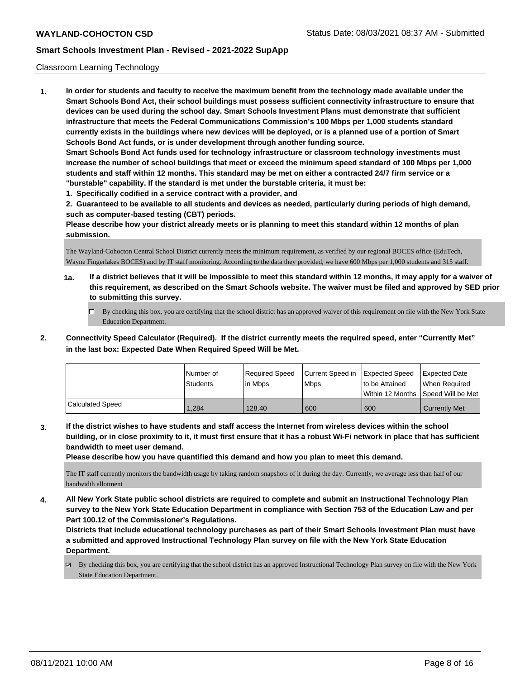### Classroom Learning Technology

**1. In order for students and faculty to receive the maximum benefit from the technology made available under the Smart Schools Bond Act, their school buildings must possess sufficient connectivity infrastructure to ensure that devices can be used during the school day. Smart Schools Investment Plans must demonstrate that sufficient infrastructure that meets the Federal Communications Commission's 100 Mbps per 1,000 students standard currently exists in the buildings where new devices will be deployed, or is a planned use of a portion of Smart Schools Bond Act funds, or is under development through another funding source. Smart Schools Bond Act funds used for technology infrastructure or classroom technology investments must increase the number of school buildings that meet or exceed the minimum speed standard of 100 Mbps per 1,000 students and staff within 12 months. This standard may be met on either a contracted 24/7 firm service or a "burstable" capability. If the standard is met under the burstable criteria, it must be:**

**1. Specifically codified in a service contract with a provider, and**

**2. Guaranteed to be available to all students and devices as needed, particularly during periods of high demand, such as computer-based testing (CBT) periods.**

**Please describe how your district already meets or is planning to meet this standard within 12 months of plan submission.**

The Wayland-Cohocton Central School District currently meets the minimum requirement, as verified by our regional BOCES office (EduTech, Wayne Fingerlakes BOCES) and by IT staff monitoring. According to the data they provided, we have 600 Mbps per 1,000 students and 315 staff.

- **1a. If a district believes that it will be impossible to meet this standard within 12 months, it may apply for a waiver of this requirement, as described on the Smart Schools website. The waiver must be filed and approved by SED prior to submitting this survey.**
	- By checking this box, you are certifying that the school district has an approved waiver of this requirement on file with the New York State Education Department.
- **2. Connectivity Speed Calculator (Required). If the district currently meets the required speed, enter "Currently Met" in the last box: Expected Date When Required Speed Will be Met.**

|                  | l Number of<br><b>Students</b> | Required Speed<br>l in Mbps | Current Speed in Expected Speed<br><b>Mbps</b> | to be Attained | <b>Expected Date</b><br>When Required<br> Within 12 Months  Speed Will be Met |
|------------------|--------------------------------|-----------------------------|------------------------------------------------|----------------|-------------------------------------------------------------------------------|
| Calculated Speed | 1.284                          | 128.40                      | 600                                            | 600            | <b>Currently Met</b>                                                          |

**3. If the district wishes to have students and staff access the Internet from wireless devices within the school building, or in close proximity to it, it must first ensure that it has a robust Wi-Fi network in place that has sufficient bandwidth to meet user demand.**

**Please describe how you have quantified this demand and how you plan to meet this demand.**

The IT staff currently monitors the bandwidth usage by taking random snapshots of it during the day. Currently, we average less than half of our bandwidth allotment

**4. All New York State public school districts are required to complete and submit an Instructional Technology Plan survey to the New York State Education Department in compliance with Section 753 of the Education Law and per Part 100.12 of the Commissioner's Regulations.**

**Districts that include educational technology purchases as part of their Smart Schools Investment Plan must have a submitted and approved Instructional Technology Plan survey on file with the New York State Education Department.**

By checking this box, you are certifying that the school district has an approved Instructional Technology Plan survey on file with the New York State Education Department.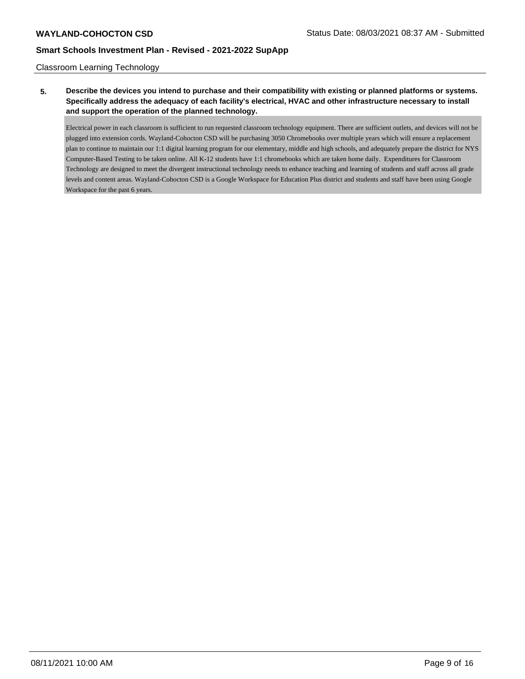Classroom Learning Technology

**5. Describe the devices you intend to purchase and their compatibility with existing or planned platforms or systems. Specifically address the adequacy of each facility's electrical, HVAC and other infrastructure necessary to install and support the operation of the planned technology.**

Electrical power in each classroom is sufficient to run requested classroom technology equipment. There are sufficient outlets, and devices will not be plugged into extension cords. Wayland-Cohocton CSD will be purchasing 3050 Chromebooks over multiple years which will ensure a replacement plan to continue to maintain our 1:1 digital learning program for our elementary, middle and high schools, and adequately prepare the district for NYS Computer-Based Testing to be taken online. All K-12 students have 1:1 chromebooks which are taken home daily. Expenditures for Classroom Technology are designed to meet the divergent instructional technology needs to enhance teaching and learning of students and staff across all grade levels and content areas. Wayland-Cohocton CSD is a Google Workspace for Education Plus district and students and staff have been using Google Workspace for the past 6 years.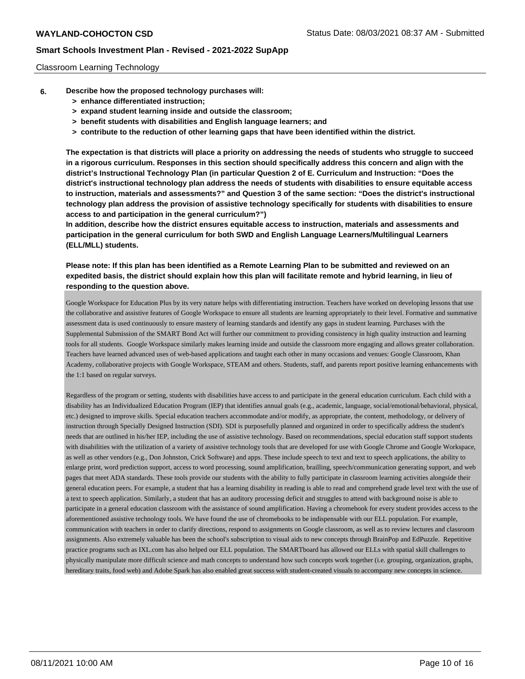### Classroom Learning Technology

- **6. Describe how the proposed technology purchases will:**
	- **> enhance differentiated instruction;**
	- **> expand student learning inside and outside the classroom;**
	- **> benefit students with disabilities and English language learners; and**
	- **> contribute to the reduction of other learning gaps that have been identified within the district.**

**The expectation is that districts will place a priority on addressing the needs of students who struggle to succeed in a rigorous curriculum. Responses in this section should specifically address this concern and align with the district's Instructional Technology Plan (in particular Question 2 of E. Curriculum and Instruction: "Does the district's instructional technology plan address the needs of students with disabilities to ensure equitable access to instruction, materials and assessments?" and Question 3 of the same section: "Does the district's instructional technology plan address the provision of assistive technology specifically for students with disabilities to ensure access to and participation in the general curriculum?")**

**In addition, describe how the district ensures equitable access to instruction, materials and assessments and participation in the general curriculum for both SWD and English Language Learners/Multilingual Learners (ELL/MLL) students.**

**Please note: If this plan has been identified as a Remote Learning Plan to be submitted and reviewed on an expedited basis, the district should explain how this plan will facilitate remote and hybrid learning, in lieu of responding to the question above.**

Google Workspace for Education Plus by its very nature helps with differentiating instruction. Teachers have worked on developing lessons that use the collaborative and assistive features of Google Workspace to ensure all students are learning appropriately to their level. Formative and summative assessment data is used continuously to ensure mastery of learning standards and identify any gaps in student learning. Purchases with the Supplemental Submission of the SMART Bond Act will further our commitment to providing consistency in high quality instruction and learning tools for all students. Google Workspace similarly makes learning inside and outside the classroom more engaging and allows greater collaboration. Teachers have learned advanced uses of web-based applications and taught each other in many occasions and venues: Google Classroom, Khan Academy, collaborative projects with Google Workspace, STEAM and others. Students, staff, and parents report positive learning enhancements with the 1:1 based on regular surveys.

Regardless of the program or setting, students with disabilities have access to and participate in the general education curriculum. Each child with a disability has an Individualized Education Program (IEP) that identifies annual goals (e.g., academic, language, social/emotional/behavioral, physical, etc.) designed to improve skills. Special education teachers accommodate and/or modify, as appropriate, the content, methodology, or delivery of instruction through Specially Designed Instruction (SDI). SDI is purposefully planned and organized in order to specifically address the student's needs that are outlined in his/her IEP, including the use of assistive technology. Based on recommendations, special education staff support students with disabilities with the utilization of a variety of assistive technology tools that are developed for use with Google Chrome and Google Workspace, as well as other vendors (e.g., Don Johnston, Crick Software) and apps. These include speech to text and text to speech applications, the ability to enlarge print, word prediction support, access to word processing, sound amplification, brailling, speech/communication generating support, and web pages that meet ADA standards. These tools provide our students with the ability to fully participate in classroom learning activities alongside their general education peers. For example, a student that has a learning disability in reading is able to read and comprehend grade level text with the use of a text to speech application. Similarly, a student that has an auditory processing deficit and struggles to attend with background noise is able to participate in a general education classroom with the assistance of sound amplification. Having a chromebook for every student provides access to the aforementioned assistive technology tools. We have found the use of chromebooks to be indispensable with our ELL population. For example, communication with teachers in order to clarify directions, respond to assignments on Google classroom, as well as to review lectures and classroom assignments. Also extremely valuable has been the school's subscription to visual aids to new concepts through BrainPop and EdPuzzle. Repetitive practice programs such as IXL.com has also helped our ELL population. The SMARTboard has allowed our ELLs with spatial skill challenges to physically manipulate more difficult science and math concepts to understand how such concepts work together (i.e. grouping, organization, graphs, hereditary traits, food web) and Adobe Spark has also enabled great success with student-created visuals to accompany new concepts in science.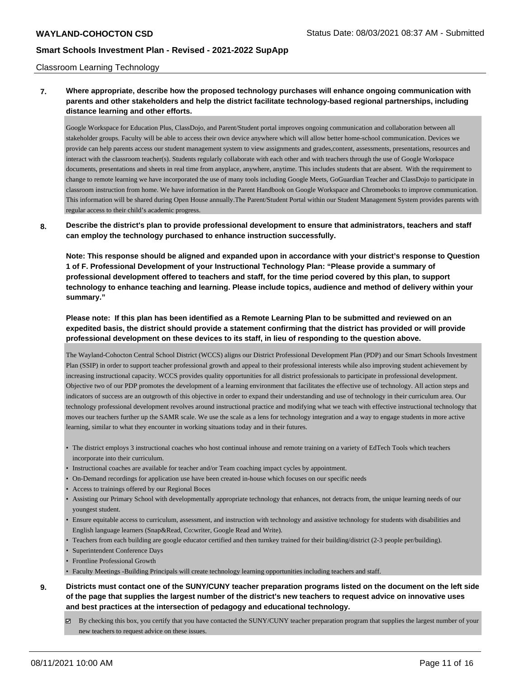#### Classroom Learning Technology

# **7. Where appropriate, describe how the proposed technology purchases will enhance ongoing communication with parents and other stakeholders and help the district facilitate technology-based regional partnerships, including distance learning and other efforts.**

Google Workspace for Education Plus, ClassDojo, and Parent/Student portal improves ongoing communication and collaboration between all stakeholder groups. Faculty will be able to access their own device anywhere which will allow better home-school communication. Devices we provide can help parents access our student management system to view assignments and grades,content, assessments, presentations, resources and interact with the classroom teacher(s). Students regularly collaborate with each other and with teachers through the use of Google Workspace documents, presentations and sheets in real time from anyplace, anywhere, anytime. This includes students that are absent. With the requirement to change to remote learning we have incorporated the use of many tools including Google Meets, GoGuardian Teacher and ClassDojo to participate in classroom instruction from home. We have information in the Parent Handbook on Google Workspace and Chromebooks to improve communication. This information will be shared during Open House annually.The Parent/Student Portal within our Student Management System provides parents with regular access to their child's academic progress.

### **8. Describe the district's plan to provide professional development to ensure that administrators, teachers and staff can employ the technology purchased to enhance instruction successfully.**

**Note: This response should be aligned and expanded upon in accordance with your district's response to Question 1 of F. Professional Development of your Instructional Technology Plan: "Please provide a summary of professional development offered to teachers and staff, for the time period covered by this plan, to support technology to enhance teaching and learning. Please include topics, audience and method of delivery within your summary."**

# **Please note: If this plan has been identified as a Remote Learning Plan to be submitted and reviewed on an expedited basis, the district should provide a statement confirming that the district has provided or will provide professional development on these devices to its staff, in lieu of responding to the question above.**

The Wayland-Cohocton Central School District (WCCS) aligns our District Professional Development Plan (PDP) and our Smart Schools Investment Plan (SSIP) in order to support teacher professional growth and appeal to their professional interests while also improving student achievement by increasing instructional capacity. WCCS provides quality opportunities for all district professionals to participate in professional development. Objective two of our PDP promotes the development of a learning environment that facilitates the effective use of technology. All action steps and indicators of success are an outgrowth of this objective in order to expand their understanding and use of technology in their curriculum area. Our technology professional development revolves around instructional practice and modifying what we teach with effective instructional technology that moves our teachers further up the SAMR scale. We use the scale as a lens for technology integration and a way to engage students in more active learning, similar to what they encounter in working situations today and in their futures.

- The district employs 3 instructional coaches who host continual inhouse and remote training on a variety of EdTech Tools which teachers incorporate into their curriculum.
- Instructional coaches are available for teacher and/or Team coaching impact cycles by appointment.
- On-Demand recordings for application use have been created in-house which focuses on our specific needs
- Access to trainings offered by our Regional Boces
- Assisting our Primary School with developmentally appropriate technology that enhances, not detracts from, the unique learning needs of our youngest student.
- Ensure equitable access to curriculum, assessment, and instruction with technology and assistive technology for students with disabilities and English language learners (Snap&Read, Co:writer, Google Read and Write).
- Teachers from each building are google educator certified and then turnkey trained for their building/district (2-3 people per/building).
- Superintendent Conference Days
- Frontline Professional Growth
- Faculty Meetings -Building Principals will create technology learning opportunities including teachers and staff.

# **9. Districts must contact one of the SUNY/CUNY teacher preparation programs listed on the document on the left side of the page that supplies the largest number of the district's new teachers to request advice on innovative uses and best practices at the intersection of pedagogy and educational technology.**

 $\boxtimes$  By checking this box, you certify that you have contacted the SUNY/CUNY teacher preparation program that supplies the largest number of your new teachers to request advice on these issues.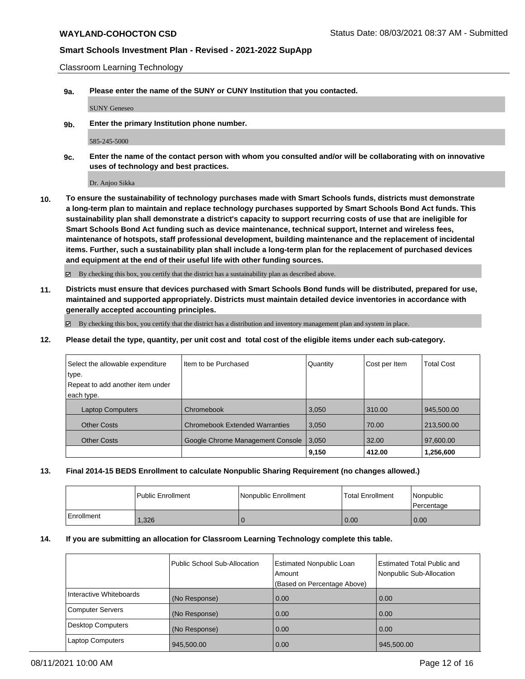Classroom Learning Technology

**9a. Please enter the name of the SUNY or CUNY Institution that you contacted.**

SUNY Geneseo

**9b. Enter the primary Institution phone number.**

585-245-5000

**9c. Enter the name of the contact person with whom you consulted and/or will be collaborating with on innovative uses of technology and best practices.**

Dr. Anjoo Sikka

**10. To ensure the sustainability of technology purchases made with Smart Schools funds, districts must demonstrate a long-term plan to maintain and replace technology purchases supported by Smart Schools Bond Act funds. This sustainability plan shall demonstrate a district's capacity to support recurring costs of use that are ineligible for Smart Schools Bond Act funding such as device maintenance, technical support, Internet and wireless fees, maintenance of hotspots, staff professional development, building maintenance and the replacement of incidental items. Further, such a sustainability plan shall include a long-term plan for the replacement of purchased devices and equipment at the end of their useful life with other funding sources.**

By checking this box, you certify that the district has a sustainability plan as described above.

**11. Districts must ensure that devices purchased with Smart Schools Bond funds will be distributed, prepared for use, maintained and supported appropriately. Districts must maintain detailed device inventories in accordance with generally accepted accounting principles.**

 $\boxtimes$  By checking this box, you certify that the district has a distribution and inventory management plan and system in place.

**12. Please detail the type, quantity, per unit cost and total cost of the eligible items under each sub-category.**

| Select the allowable expenditure | Iltem to be Purchased                 | Quantity | Cost per Item | <b>Total Cost</b> |
|----------------------------------|---------------------------------------|----------|---------------|-------------------|
| type.                            |                                       |          |               |                   |
| Repeat to add another item under |                                       |          |               |                   |
| each type.                       |                                       |          |               |                   |
| <b>Laptop Computers</b>          | Chromebook                            | 3,050    | 310.00        | 945,500.00        |
| <b>Other Costs</b>               | <b>Chromebook Extended Warranties</b> | 3,050    | 70.00         | 213,500.00        |
| <b>Other Costs</b>               | Google Chrome Management Console      | 3,050    | 32.00         | 97,600.00         |
|                                  |                                       | 9,150    | 412.00        | 1,256,600         |

#### **13. Final 2014-15 BEDS Enrollment to calculate Nonpublic Sharing Requirement (no changes allowed.)**

|            | l Public Enrollment | Nonpublic Enrollment | <b>Total Enrollment</b> | Nonpublic<br>l Percentage |
|------------|---------------------|----------------------|-------------------------|---------------------------|
| Enrollment | .326                |                      | 0.00                    | 0.00                      |

#### **14. If you are submitting an allocation for Classroom Learning Technology complete this table.**

|                          | Public School Sub-Allocation | <b>Estimated Nonpublic Loan</b><br>Amount | <b>Estimated Total Public and</b><br>Nonpublic Sub-Allocation |
|--------------------------|------------------------------|-------------------------------------------|---------------------------------------------------------------|
|                          |                              | (Based on Percentage Above)               |                                                               |
| Interactive Whiteboards  | (No Response)                | 0.00                                      | 0.00                                                          |
| Computer Servers         | (No Response)                | 0.00                                      | 0.00                                                          |
| <b>Desktop Computers</b> | (No Response)                | 0.00                                      | 0.00                                                          |
| <b>Laptop Computers</b>  | 945,500.00                   | 0.00                                      | 945,500.00                                                    |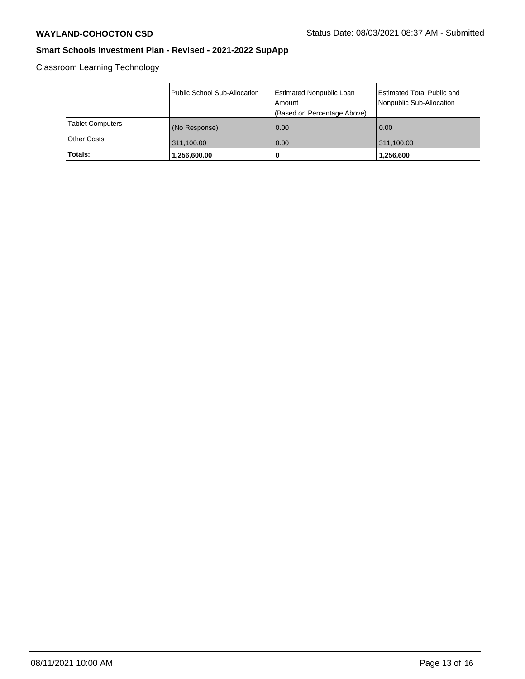Classroom Learning Technology

|                         | Public School Sub-Allocation | Estimated Nonpublic Loan<br>Amount<br>(Based on Percentage Above) | <b>Estimated Total Public and</b><br>Nonpublic Sub-Allocation |
|-------------------------|------------------------------|-------------------------------------------------------------------|---------------------------------------------------------------|
| <b>Tablet Computers</b> | (No Response)                | 0.00                                                              | 0.00                                                          |
| <b>Other Costs</b>      | 311,100.00                   | 0.00                                                              | 311,100.00                                                    |
| Totals:                 | 1,256,600.00                 | 0                                                                 | 1,256,600                                                     |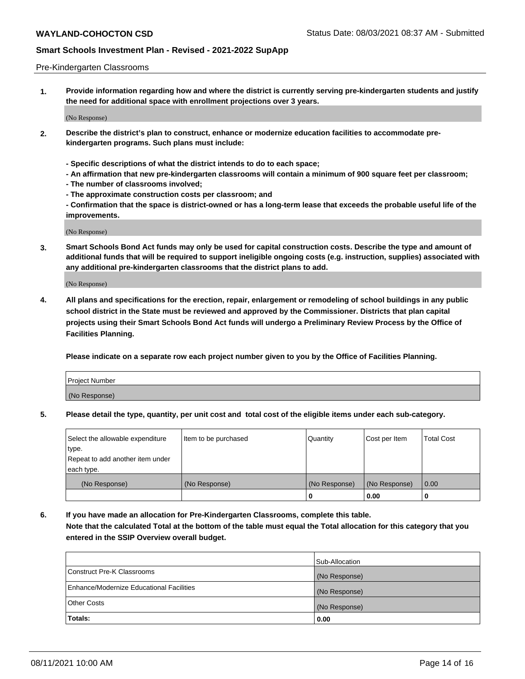#### Pre-Kindergarten Classrooms

**1. Provide information regarding how and where the district is currently serving pre-kindergarten students and justify the need for additional space with enrollment projections over 3 years.**

(No Response)

- **2. Describe the district's plan to construct, enhance or modernize education facilities to accommodate prekindergarten programs. Such plans must include:**
	- **Specific descriptions of what the district intends to do to each space;**
	- **An affirmation that new pre-kindergarten classrooms will contain a minimum of 900 square feet per classroom;**
	- **The number of classrooms involved;**
	- **The approximate construction costs per classroom; and**
	- **Confirmation that the space is district-owned or has a long-term lease that exceeds the probable useful life of the improvements.**

(No Response)

**3. Smart Schools Bond Act funds may only be used for capital construction costs. Describe the type and amount of additional funds that will be required to support ineligible ongoing costs (e.g. instruction, supplies) associated with any additional pre-kindergarten classrooms that the district plans to add.**

(No Response)

**4. All plans and specifications for the erection, repair, enlargement or remodeling of school buildings in any public school district in the State must be reviewed and approved by the Commissioner. Districts that plan capital projects using their Smart Schools Bond Act funds will undergo a Preliminary Review Process by the Office of Facilities Planning.**

**Please indicate on a separate row each project number given to you by the Office of Facilities Planning.**

| Project Number |  |
|----------------|--|
| (No Response)  |  |
|                |  |

**5. Please detail the type, quantity, per unit cost and total cost of the eligible items under each sub-category.**

| Select the allowable expenditure | Item to be purchased | Quantity      | Cost per Item | <b>Total Cost</b> |
|----------------------------------|----------------------|---------------|---------------|-------------------|
| type.                            |                      |               |               |                   |
| Repeat to add another item under |                      |               |               |                   |
| each type.                       |                      |               |               |                   |
| (No Response)                    | (No Response)        | (No Response) | (No Response) | 0.00              |
|                                  |                      | U             | 0.00          |                   |

**6. If you have made an allocation for Pre-Kindergarten Classrooms, complete this table. Note that the calculated Total at the bottom of the table must equal the Total allocation for this category that you entered in the SSIP Overview overall budget.**

|                                          | Sub-Allocation |
|------------------------------------------|----------------|
| Construct Pre-K Classrooms               | (No Response)  |
| Enhance/Modernize Educational Facilities | (No Response)  |
| <b>Other Costs</b>                       | (No Response)  |
| Totals:                                  | 0.00           |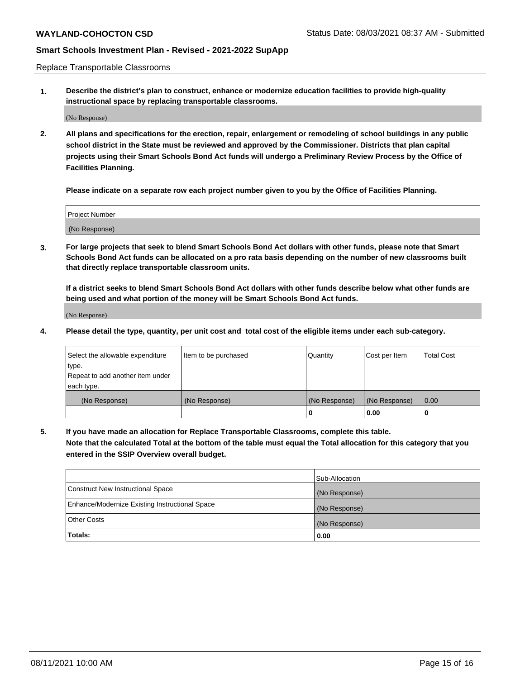Replace Transportable Classrooms

**1. Describe the district's plan to construct, enhance or modernize education facilities to provide high-quality instructional space by replacing transportable classrooms.**

(No Response)

**2. All plans and specifications for the erection, repair, enlargement or remodeling of school buildings in any public school district in the State must be reviewed and approved by the Commissioner. Districts that plan capital projects using their Smart Schools Bond Act funds will undergo a Preliminary Review Process by the Office of Facilities Planning.**

**Please indicate on a separate row each project number given to you by the Office of Facilities Planning.**

| Project Number |  |
|----------------|--|
|                |  |
|                |  |
|                |  |
|                |  |
| (No Response)  |  |
|                |  |
|                |  |
|                |  |

**3. For large projects that seek to blend Smart Schools Bond Act dollars with other funds, please note that Smart Schools Bond Act funds can be allocated on a pro rata basis depending on the number of new classrooms built that directly replace transportable classroom units.**

**If a district seeks to blend Smart Schools Bond Act dollars with other funds describe below what other funds are being used and what portion of the money will be Smart Schools Bond Act funds.**

(No Response)

**4. Please detail the type, quantity, per unit cost and total cost of the eligible items under each sub-category.**

| Select the allowable expenditure | Item to be purchased | Quantity      | Cost per Item | Total Cost |
|----------------------------------|----------------------|---------------|---------------|------------|
| ∣type.                           |                      |               |               |            |
| Repeat to add another item under |                      |               |               |            |
| each type.                       |                      |               |               |            |
| (No Response)                    | (No Response)        | (No Response) | (No Response) | 0.00       |
|                                  |                      | u             | 0.00          |            |

**5. If you have made an allocation for Replace Transportable Classrooms, complete this table. Note that the calculated Total at the bottom of the table must equal the Total allocation for this category that you entered in the SSIP Overview overall budget.**

|                                                | Sub-Allocation |
|------------------------------------------------|----------------|
| Construct New Instructional Space              | (No Response)  |
| Enhance/Modernize Existing Instructional Space | (No Response)  |
| <b>Other Costs</b>                             | (No Response)  |
| Totals:                                        | 0.00           |